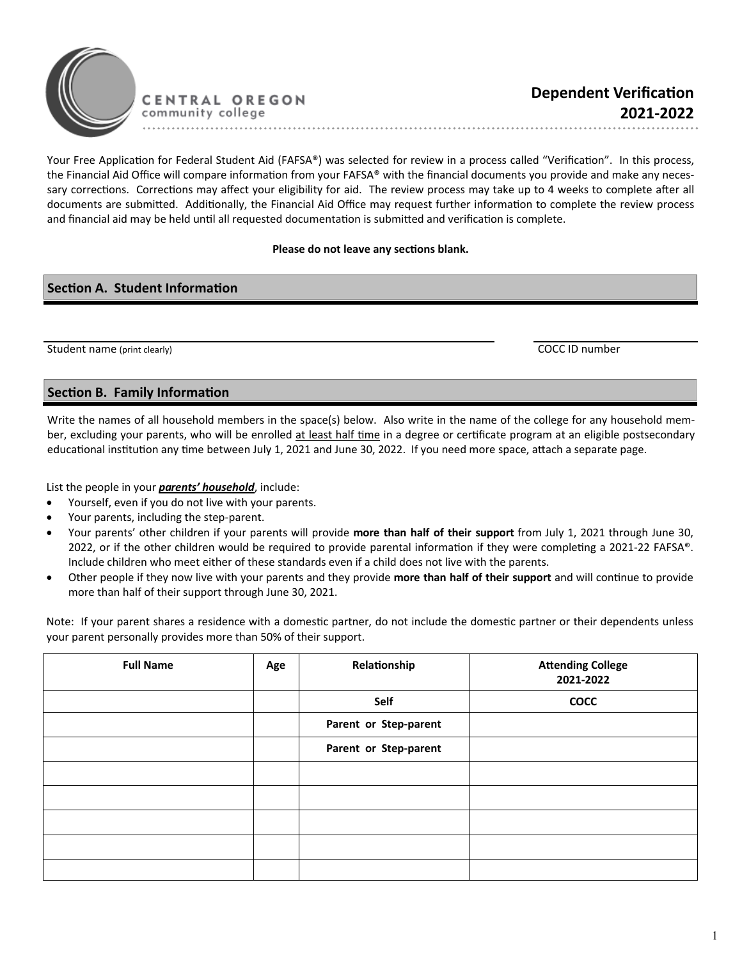

Your Free Application for Federal Student Aid (FAFSA®) was selected for review in a process called "Verification". In this process, the Financial Aid Office will compare information from your FAFSA® with the financial documents you provide and make any necessary corrections. Corrections may affect your eligibility for aid. The review process may take up to 4 weeks to complete after all documents are submitted. Additionally, the Financial Aid Office may request further information to complete the review process and financial aid may be held until all requested documentation is submitted and verification is complete.

......................................

## Please do not leave any sections blank.

## **Section A. Student Information**

Student name (print clearly) COCC ID number

## **Section B. Family Information**

Write the names of all household members in the space(s) below. Also write in the name of the college for any household member, excluding your parents, who will be enrolled at least half time in a degree or certificate program at an eligible postsecondary educational institution any time between July 1, 2021 and June 30, 2022. If you need more space, attach a separate page.

List the people in your *parents' household*, include:

- Yourself, even if you do not live with your parents.
- Your parents, including the step-parent.
- Your parents' other children if your parents will provide **more than half of their support** from July 1, 2021 through June 30, 2022, or if the other children would be required to provide parental information if they were completing a 2021-22 FAFSA®. Include children who meet either of these standards even if a child does not live with the parents.
- Other people if they now live with your parents and they provide more than half of their support and will continue to provide more than half of their support through June 30, 2021.

Note: If your parent shares a residence with a domestic partner, do not include the domestic partner or their dependents unless your parent personally provides more than 50% of their support.

| <b>Full Name</b> | Age | Relationship          | <b>Attending College</b><br>2021-2022 |
|------------------|-----|-----------------------|---------------------------------------|
|                  |     | Self                  | <b>COCC</b>                           |
|                  |     | Parent or Step-parent |                                       |
|                  |     | Parent or Step-parent |                                       |
|                  |     |                       |                                       |
|                  |     |                       |                                       |
|                  |     |                       |                                       |
|                  |     |                       |                                       |
|                  |     |                       |                                       |